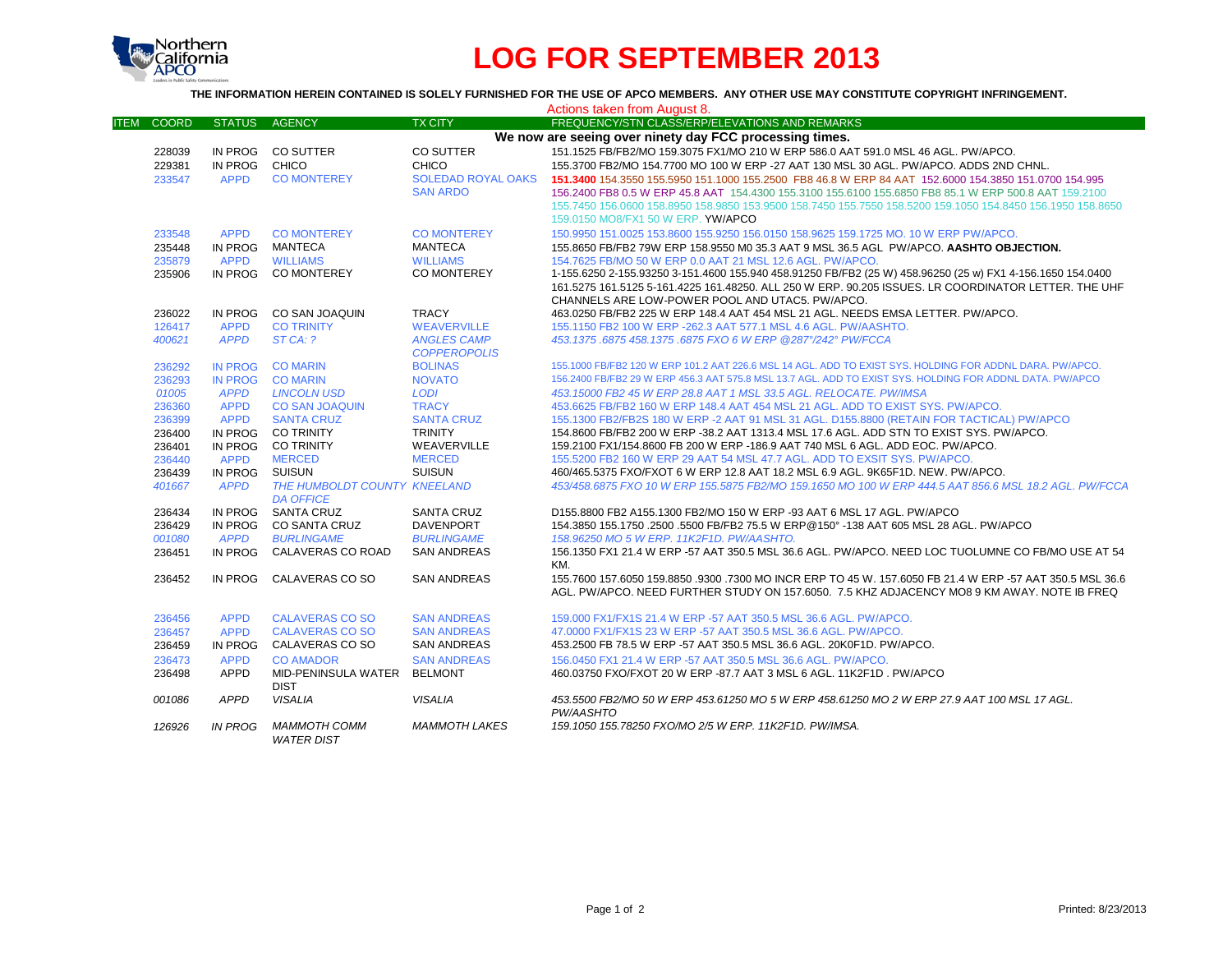

# **LOG FOR SEPTEMBER 2013**

### **THE INFORMATION HEREIN CONTAINED IS SOLELY FURNISHED FOR THE USE OF APCO MEMBERS. ANY OTHER USE MAY CONSTITUTE COPYRIGHT INFRINGEMENT.**

|                                                         |                |                              |                           | Actions taken from August 8.                                                                                     |
|---------------------------------------------------------|----------------|------------------------------|---------------------------|------------------------------------------------------------------------------------------------------------------|
| <b>ITEM</b><br><b>COORD</b>                             | <b>STATUS</b>  | <b>AGENCY</b>                | <b>TX CITY</b>            | FREQUENCY/STN CLASS/ERP/ELEVATIONS AND REMARKS                                                                   |
| We now are seeing over ninety day FCC processing times. |                |                              |                           |                                                                                                                  |
| 228039                                                  | IN PROG        | CO SUTTER                    | CO SUTTER                 | 151.1525 FB/FB2/MO 159.3075 FX1/MO 210 W ERP 586.0 AAT 591.0 MSL 46 AGL, PW/APCO.                                |
| 229381                                                  | IN PROG        | CHICO                        | <b>CHICO</b>              | 155.3700 FB2/MO 154.7700 MO 100 W ERP -27 AAT 130 MSL 30 AGL. PW/APCO, ADDS 2ND CHNL.                            |
| 233547                                                  | <b>APPD</b>    | <b>CO MONTEREY</b>           | <b>SOLEDAD ROYAL OAKS</b> | 151,3400 154,3550 155,5950 151,1000 155,2500 FB8 46.8 W ERP 84 AAT 152,6000 154,3850 151,0700 154,995            |
|                                                         |                |                              | <b>SAN ARDO</b>           | 156.2400 FB8 0.5 W ERP 45.8 AAT 154.4300 155.3100 155.6100 155.6850 FB8 85.1 W ERP 500.8 AAT 159.2100            |
|                                                         |                |                              |                           | 155.7450 156.0600 158.8950 158.9850 153.9500 158.7450 155.7550 158.5200 159.1050 154.8450 156.1950 158.8650      |
|                                                         |                |                              |                           | 159.0150 MO8/FX1 50 W ERP. YW/APCO                                                                               |
| 233548                                                  | <b>APPD</b>    | <b>CO MONTEREY</b>           | <b>CO MONTEREY</b>        | 150,9950 151,0025 153,8600 155,9250 156,0150 158,9625 159,1725 MO, 10 W ERP PW/APCO,                             |
| 235448                                                  | IN PROG        | MANTECA                      | <b>MANTECA</b>            | 155.8650 FB/FB2 79W ERP 158.9550 M0 35.3 AAT 9 MSL 36.5 AGL PW/APCO. AASHTO OBJECTION.                           |
| 235879                                                  | <b>APPD</b>    | <b>WILLIAMS</b>              | <b>WILLIAMS</b>           | 154.7625 FB/MO 50 W ERP 0.0 AAT 21 MSL 12.6 AGL. PW/APCO.                                                        |
| 235906                                                  |                | IN PROG CO MONTEREY          | CO MONTEREY               | 1-155.6250 2-155.93250 3-151.4600 155.940 458.91250 FB/FB2 (25 W) 458.96250 (25 w) FX1 4-156.1650 154.0400       |
|                                                         |                |                              |                           | 161.5275 161.5125 5-161.4225 161.48250. ALL 250 W ERP. 90.205 ISSUES. LR COORDINATOR LETTER. THE UHF             |
|                                                         |                |                              |                           | CHANNELS ARE LOW-POWER POOL AND UTAC5. PW/APCO.                                                                  |
| 236022                                                  | IN PROG        | CO SAN JOAQUIN               | <b>TRACY</b>              | 463.0250 FB/FB2 225 W ERP 148.4 AAT 454 MSL 21 AGL. NEEDS EMSA LETTER, PW/APCO.                                  |
| 126417                                                  | <b>APPD</b>    | <b>CO TRINITY</b>            | <b>WEAVERVILLE</b>        | 155,1150 FB2 100 W ERP -262.3 AAT 577.1 MSL 4.6 AGL, PW/AASHTO.                                                  |
| 400621                                                  | <b>APPD</b>    | ST CA: ?                     | <b>ANGLES CAMP</b>        | 453.1375.6875 458.1375.6875 FXO 6 W ERP @287°/242° PW/FCCA                                                       |
|                                                         |                |                              | <b>COPPEROPOLIS</b>       |                                                                                                                  |
| 236292                                                  | <b>IN PROG</b> | <b>CO MARIN</b>              | <b>BOLINAS</b>            | 155.1000 FB/FB2 120 W ERP 101.2 AAT 226.6 MSL 14 AGL, ADD TO EXIST SYS, HOLDING FOR ADDNL DARA, PW/APCO,         |
| 236293                                                  | <b>IN PROG</b> | <b>CO MARIN</b>              | <b>NOVATO</b>             | 156,2400 FB/FB2 29 W ERP 456,3 AAT 575,8 MSL 13.7 AGL, ADD TO EXIST SYS. HOLDING FOR ADDNL DATA, PW/APCO         |
| 01005                                                   | <b>APPD</b>    | <b>LINCOLN USD</b>           | <b>LODI</b>               | 453.15000 FB2 45 W ERP 28.8 AAT 1 MSL 33.5 AGL, RELOCATE, PW/IMSA                                                |
| 236360                                                  | <b>APPD</b>    | <b>CO SAN JOAQUIN</b>        | <b>TRACY</b>              | 453.6625 FB/FB2 160 W ERP 148.4 AAT 454 MSL 21 AGL, ADD TO EXIST SYS, PW/APCO,                                   |
| 236399                                                  | <b>APPD</b>    | <b>SANTA CRUZ</b>            | <b>SANTA CRUZ</b>         | 155.1300 FB2/FB2S 180 W ERP -2 AAT 91 MSL 31 AGL, D155.8800 (RETAIN FOR TACTICAL) PW/APCO                        |
| 236400                                                  | IN PROG        | <b>CO TRINITY</b>            | <b>TRINITY</b>            | 154.8600 FB/FB2 200 W ERP -38.2 AAT 1313.4 MSL 17.6 AGL. ADD STN TO EXIST SYS. PW/APCO.                          |
| 236401                                                  |                | IN PROG CO TRINITY           | WEAVERVILLE               | 159.2100 FX1/154.8600 FB 200 W ERP -186.9 AAT 740 MSL 6 AGL, ADD EOC, PW/APCO,                                   |
| 236440                                                  | <b>APPD</b>    | <b>MERCED</b>                | <b>MERCED</b>             | 155.5200 FB2 160 W ERP 29 AAT 54 MSL 47.7 AGL. ADD TO EXSIT SYS. PW/APCO.                                        |
| 236439                                                  | IN PROG        | SUISUN                       | <b>SUISUN</b>             | 460/465.5375 FXO/FXOT 6 W ERP 12.8 AAT 18.2 MSL 6.9 AGL, 9K65F1D, NEW, PW/APCO,                                  |
| 401667                                                  | <b>APPD</b>    | THE HUMBOLDT COUNTY KNEELAND |                           | 453/458.6875 FXO 10 W ERP 155.5875 FB2/MO 159.1650 MO 100 W ERP 444.5 AAT 856.6 MSL 18.2 AGL. PW/FCCA            |
|                                                         |                | <b>DA OFFICE</b>             |                           |                                                                                                                  |
| 236434                                                  | IN PROG        | <b>SANTA CRUZ</b>            | <b>SANTA CRUZ</b>         | D155.8800 FB2 A155.1300 FB2/MO 150 W ERP -93 AAT 6 MSL 17 AGL, PW/APCO                                           |
| 236429                                                  | IN PROG        | <b>CO SANTA CRUZ</b>         | <b>DAVENPORT</b>          | 154.3850 155.1750 .2500 .5500 FB/FB2 75.5 W ERP@150° -138 AAT 605 MSL 28 AGL. PW/APCO                            |
| 001080                                                  | <b>APPD</b>    | <b>BURLINGAME</b>            | <b>BURLINGAME</b>         | 158.96250 MO 5 W ERP. 11K2F1D. PW/AASHTO.                                                                        |
| 236451                                                  | IN PROG        | CALAVERAS CO ROAD            | <b>SAN ANDREAS</b>        | 156.1350 FX1 21.4 W ERP -57 AAT 350.5 MSL 36.6 AGL. PW/APCO. NEED LOC TUOLUMNE CO FB/MO USE AT 54                |
| 236452                                                  | IN PROG        | CALAVERAS CO SO              | <b>SAN ANDREAS</b>        | KM.<br>155.7600 157.6050 159.8850 .9300 .7300 MO INCR ERP TO 45 W. 157.6050 FB 21.4 W ERP -57 AAT 350.5 MSL 36.6 |
|                                                         |                |                              |                           | AGL. PW/APCO, NEED FURTHER STUDY ON 157,6050. 7.5 KHZ ADJACENCY MO8 9 KM AWAY, NOTE IB FREQ                      |
|                                                         |                |                              |                           |                                                                                                                  |
| 236456                                                  | <b>APPD</b>    | <b>CALAVERAS CO SO</b>       | <b>SAN ANDREAS</b>        | 159,000 FX1/FX1S 21.4 W ERP -57 AAT 350.5 MSL 36.6 AGL, PW/APCO.                                                 |
| 236457                                                  | <b>APPD</b>    | <b>CALAVERAS CO SO</b>       | <b>SAN ANDREAS</b>        | 47,0000 FX1/FX1S 23 W ERP -57 AAT 350.5 MSL 36.6 AGL, PW/APCO.                                                   |
| 236459                                                  | IN PROG        | CALAVERAS CO SO              | <b>SAN ANDREAS</b>        | 453.2500 FB 78.5 W ERP -57 AAT 350.5 MSL 36.6 AGL, 20K0F1D, PW/APCO,                                             |
| 236473                                                  | <b>APPD</b>    | <b>CO AMADOR</b>             | <b>SAN ANDREAS</b>        | 156,0450 FX1 21.4 W ERP -57 AAT 350.5 MSL 36.6 AGL, PW/APCO.                                                     |
| 236498                                                  | <b>APPD</b>    | MID-PENINSULA WATER          | <b>BELMONT</b>            | 460.03750 FXO/FXOT 20 W ERP -87.7 AAT 3 MSL 6 AGL. 11K2F1D . PW/APCO                                             |
|                                                         |                | <b>DIST</b>                  |                           |                                                                                                                  |
| 001086                                                  | <b>APPD</b>    | <b>VISALIA</b>               | <b>VISALIA</b>            | 453.5500 FB2/MO 50 W ERP 453.61250 MO 5 W ERP 458.61250 MO 2 W ERP 27.9 AAT 100 MSL 17 AGL.                      |
|                                                         |                |                              |                           | PW/AASHTO                                                                                                        |
| 126926                                                  | <b>IN PROG</b> | <b>MAMMOTH COMM</b>          | <b>MAMMOTH LAKES</b>      | 159.1050 155.78250 FXO/MO 2/5 W ERP. 11K2F1D. PW/IMSA.                                                           |
|                                                         |                | <b>WATER DIST</b>            |                           |                                                                                                                  |